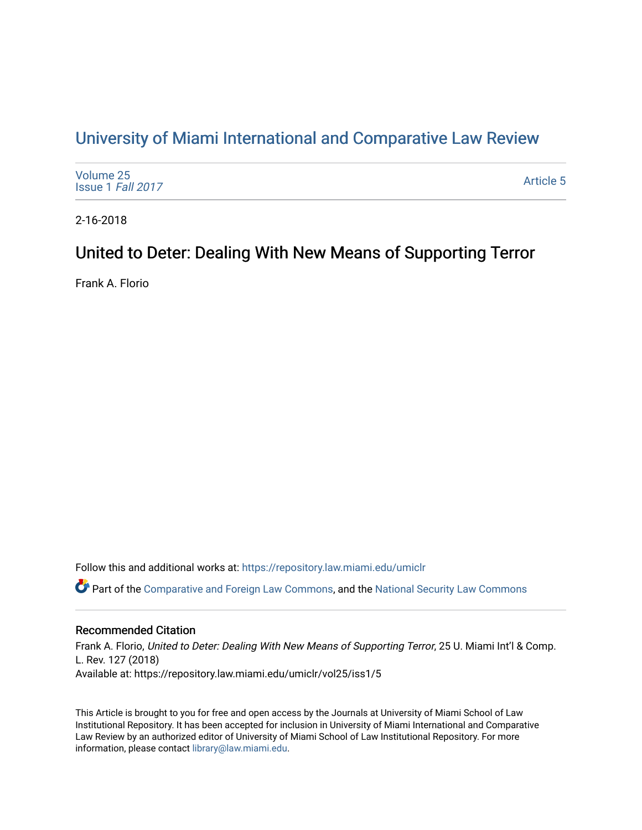# [University of Miami International and Comparative Law Review](https://repository.law.miami.edu/umiclr)

| Volume 25<br>Issue 1 Fall 2017 | <b>Article 5</b> |
|--------------------------------|------------------|
|--------------------------------|------------------|

2-16-2018

# United to Deter: Dealing With New Means of Supporting Terror

Frank A. Florio

Follow this and additional works at: [https://repository.law.miami.edu/umiclr](https://repository.law.miami.edu/umiclr?utm_source=repository.law.miami.edu%2Fumiclr%2Fvol25%2Fiss1%2F5&utm_medium=PDF&utm_campaign=PDFCoverPages)

Part of the [Comparative and Foreign Law Commons,](http://network.bepress.com/hgg/discipline/836?utm_source=repository.law.miami.edu%2Fumiclr%2Fvol25%2Fiss1%2F5&utm_medium=PDF&utm_campaign=PDFCoverPages) and the [National Security Law Commons](http://network.bepress.com/hgg/discipline/1114?utm_source=repository.law.miami.edu%2Fumiclr%2Fvol25%2Fiss1%2F5&utm_medium=PDF&utm_campaign=PDFCoverPages) 

# Recommended Citation

Frank A. Florio, United to Deter: Dealing With New Means of Supporting Terror, 25 U. Miami Int'l & Comp. L. Rev. 127 (2018) Available at: https://repository.law.miami.edu/umiclr/vol25/iss1/5

This Article is brought to you for free and open access by the Journals at University of Miami School of Law Institutional Repository. It has been accepted for inclusion in University of Miami International and Comparative Law Review by an authorized editor of University of Miami School of Law Institutional Repository. For more information, please contact [library@law.miami.edu](mailto:library@law.miami.edu).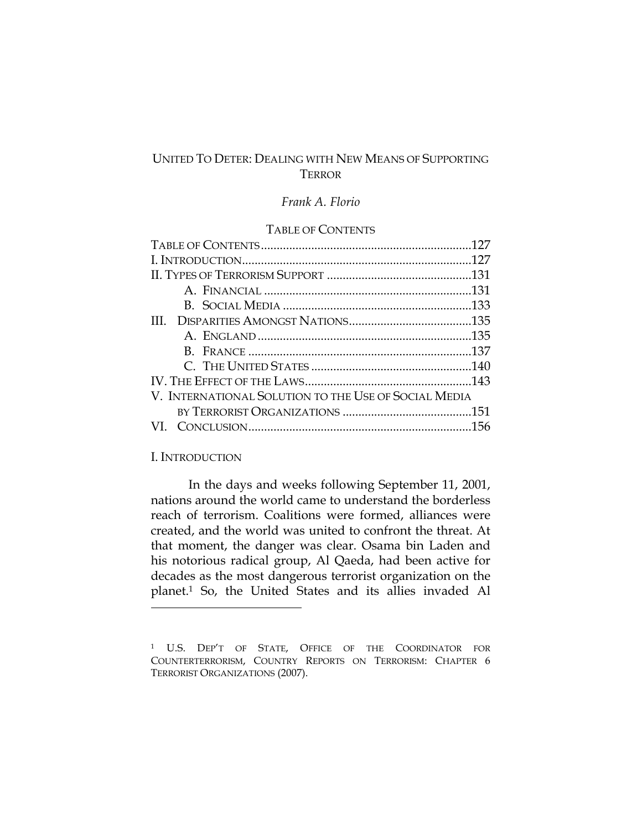# UNITED TO DETER: DEALING WITH NEW MEANS OF SUPPORTING **TERROR**

# *Frank A. Florio*

### TABLE OF CONTENTS

| V. INTERNATIONAL SOLUTION TO THE USE OF SOCIAL MEDIA |  |
|------------------------------------------------------|--|
|                                                      |  |
|                                                      |  |
|                                                      |  |

## I. INTRODUCTION

 $\overline{a}$ 

In the days and weeks following September 11, 2001, nations around the world came to understand the borderless reach of terrorism. Coalitions were formed, alliances were created, and the world was united to confront the threat. At that moment, the danger was clear. Osama bin Laden and his notorious radical group, Al Qaeda, had been active for decades as the most dangerous terrorist organization on the planet. <sup>1</sup> So, the United States and its allies invaded Al

<sup>1</sup> U.S. DEP'T OF STATE, OFFICE OF THE COORDINATOR FOR COUNTERTERRORISM, COUNTRY REPORTS ON TERRORISM: CHAPTER 6 TERRORIST ORGANIZATIONS (2007).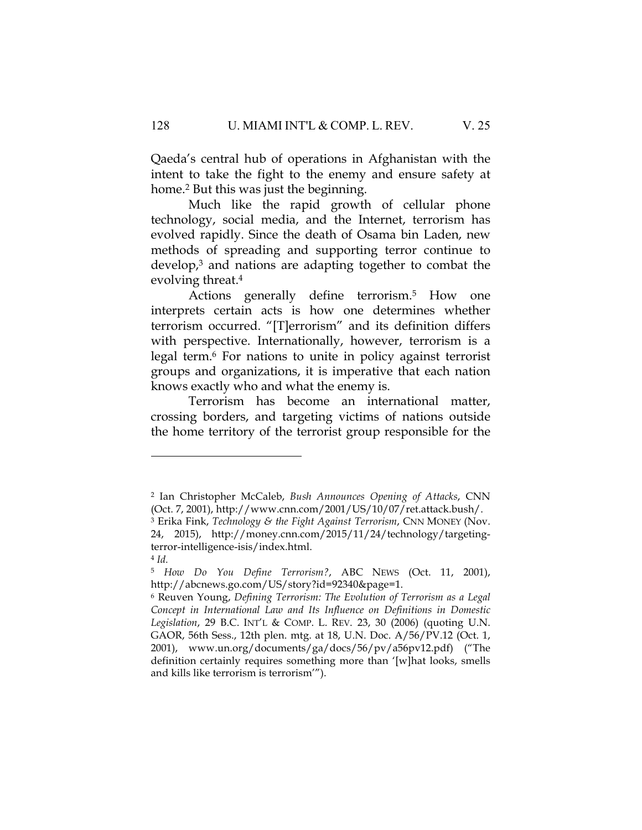Qaeda's central hub of operations in Afghanistan with the intent to take the fight to the enemy and ensure safety at home. <sup>2</sup> But this was just the beginning.

Much like the rapid growth of cellular phone technology, social media, and the Internet, terrorism has evolved rapidly. Since the death of Osama bin Laden, new methods of spreading and supporting terror continue to develop,3 and nations are adapting together to combat the evolving threat.4

Actions generally define terrorism.5 How one interprets certain acts is how one determines whether terrorism occurred. "[T]errorism" and its definition differs with perspective. Internationally, however, terrorism is a legal term.<sup>6</sup> For nations to unite in policy against terrorist groups and organizations, it is imperative that each nation knows exactly who and what the enemy is.

Terrorism has become an international matter, crossing borders, and targeting victims of nations outside the home territory of the terrorist group responsible for the

<sup>2</sup> Ian Christopher McCaleb, *Bush Announces Opening of Attacks*, CNN (Oct. 7, 2001), http://www.cnn.com/2001/US/10/07/ret.attack.bush/.

<sup>3</sup> Erika Fink, *Technology & the Fight Against Terrorism*, CNN MONEY (Nov. 24, 2015), http://money.cnn.com/2015/11/24/technology/targetingterror-intelligence-isis/index.html. <sup>4</sup> *Id.* 

<sup>5</sup> *How Do You Define Terrorism?*, ABC NEWS (Oct. 11, 2001), http://abcnews.go.com/US/story?id=92340&page=1.

<sup>6</sup> Reuven Young, *Defining Terrorism: The Evolution of Terrorism as a Legal Concept in International Law and Its Influence on Definitions in Domestic Legislation*, 29 B.C. INT'L & COMP. L. REV. 23, 30 (2006) (quoting U.N. GAOR, 56th Sess., 12th plen. mtg. at 18, U.N. Doc. A/56/PV.12 (Oct. 1, 2001), www.un.org/documents/ga/docs/56/pv/a56pv12.pdf) ("The definition certainly requires something more than '[w]hat looks, smells and kills like terrorism is terrorism'").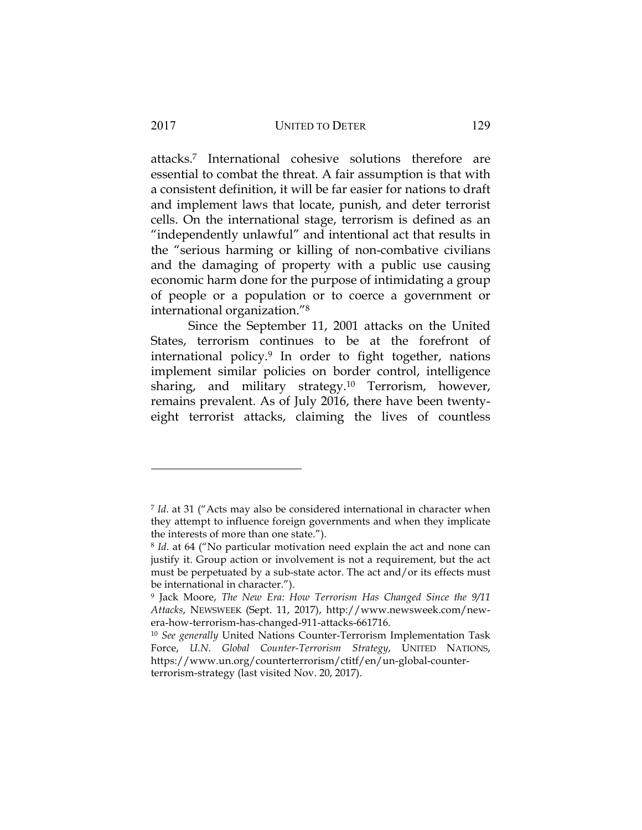#### 2017 UNITED TO DETER 129

attacks.7 International cohesive solutions therefore are essential to combat the threat. A fair assumption is that with a consistent definition, it will be far easier for nations to draft and implement laws that locate, punish, and deter terrorist cells. On the international stage, terrorism is defined as an "independently unlawful" and intentional act that results in the "serious harming or killing of non-combative civilians and the damaging of property with a public use causing economic harm done for the purpose of intimidating a group of people or a population or to coerce a government or international organization."8

Since the September 11, 2001 attacks on the United States, terrorism continues to be at the forefront of international policy.9 In order to fight together, nations implement similar policies on border control, intelligence sharing, and military strategy.10 Terrorism, however, remains prevalent. As of July 2016, there have been twentyeight terrorist attacks, claiming the lives of countless

<sup>7</sup> *Id*. at 31 ("Acts may also be considered international in character when they attempt to influence foreign governments and when they implicate the interests of more than one state.").

<sup>8</sup> *Id*. at 64 ("No particular motivation need explain the act and none can justify it. Group action or involvement is not a requirement, but the act must be perpetuated by a sub-state actor. The act and/or its effects must be international in character.").

<sup>9</sup> Jack Moore, *The New Era: How Terrorism Has Changed Since the 9/11 Attacks*, NEWSWEEK (Sept. 11, 2017), http://www.newsweek.com/newera-how-terrorism-has-changed-911-attacks-661716.

<sup>10</sup> *See generally* United Nations Counter-Terrorism Implementation Task Force, *U.N. Global Counter-Terrorism Strategy*, UNITED NATIONS, https://www.un.org/counterterrorism/ctitf/en/un-global-counterterrorism-strategy (last visited Nov. 20, 2017).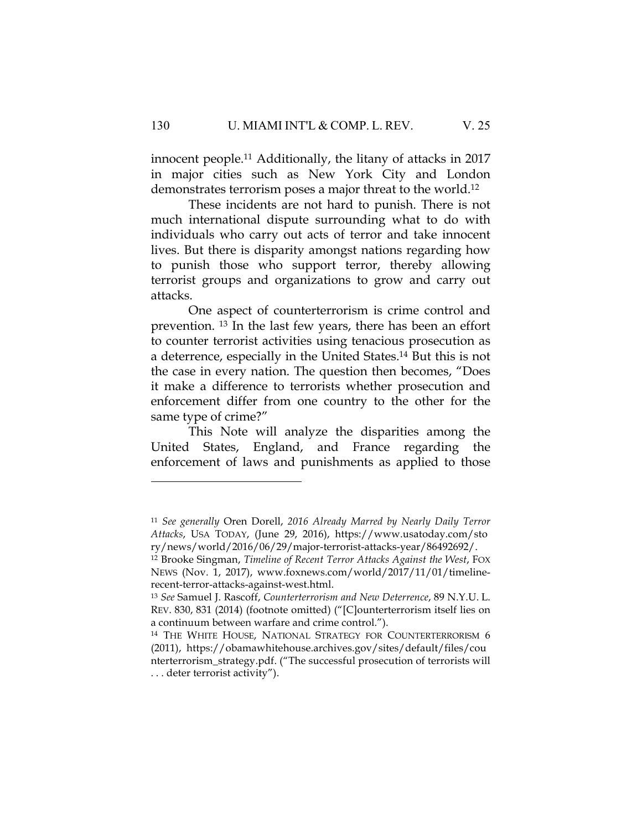innocent people.11 Additionally, the litany of attacks in 2017 in major cities such as New York City and London demonstrates terrorism poses a major threat to the world.12

These incidents are not hard to punish. There is not much international dispute surrounding what to do with individuals who carry out acts of terror and take innocent lives. But there is disparity amongst nations regarding how to punish those who support terror, thereby allowing terrorist groups and organizations to grow and carry out attacks.

One aspect of counterterrorism is crime control and prevention. <sup>13</sup> In the last few years, there has been an effort to counter terrorist activities using tenacious prosecution as a deterrence, especially in the United States.14 But this is not the case in every nation. The question then becomes, "Does it make a difference to terrorists whether prosecution and enforcement differ from one country to the other for the same type of crime?"

This Note will analyze the disparities among the United States, England, and France regarding the enforcement of laws and punishments as applied to those

<sup>11</sup> *See generally* Oren Dorell, *2016 Already Marred by Nearly Daily Terror Attacks*,\_USA\_TODAY,\_(June\_29,\_2016),\_https://www.usatoday.com/sto ry/news/world/2016/06/29/major-terrorist-attacks-year/86492692/.

<sup>12</sup> Brooke Singman, *Timeline of Recent Terror Attacks Against the West*, FOX NEWS (Nov. 1, 2017), www.foxnews.com/world/2017/11/01/timelinerecent-terror-attacks-against-west.html.

<sup>13</sup> *See* Samuel J. Rascoff, *Counterterrorism and New Deterrence*, 89 N.Y.U. L. REV. 830, 831 (2014) (footnote omitted) ("[C]ounterterrorism itself lies on a continuum between warfare and crime control.").

<sup>14</sup> THE WHITE HOUSE, NATIONAL STRATEGY FOR COUNTERTERRORISM 6 (2011), https://obamawhitehouse.archives.gov/sites/default/files/cou nterterrorism\_strategy.pdf. ("The successful prosecution of terrorists will . . . deter terrorist activity").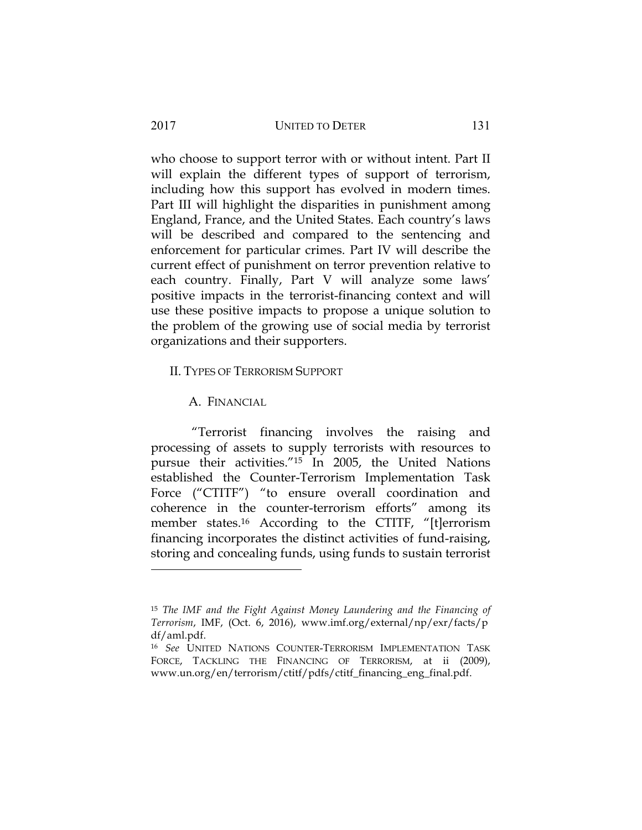#### 2017 UNITED TO DETER 131

who choose to support terror with or without intent. Part II will explain the different types of support of terrorism, including how this support has evolved in modern times. Part III will highlight the disparities in punishment among England, France, and the United States. Each country's laws will be described and compared to the sentencing and enforcement for particular crimes. Part IV will describe the current effect of punishment on terror prevention relative to each country. Finally, Part V will analyze some laws' positive impacts in the terrorist-financing context and will use these positive impacts to propose a unique solution to the problem of the growing use of social media by terrorist organizations and their supporters.

#### II. TYPES OF TERRORISM SUPPORT

A. FINANCIAL

"Terrorist financing involves the raising and processing of assets to supply terrorists with resources to pursue their activities."15 In 2005, the United Nations established the Counter-Terrorism Implementation Task Force ("CTITF") "to ensure overall coordination and coherence in the counter-terrorism efforts" among its member states.16 According to the CTITF, "[t]errorism financing incorporates the distinct activities of fund-raising, storing and concealing funds, using funds to sustain terrorist

<sup>15</sup> *The IMF and the Fight Against Money Laundering and the Financing of Terrorism, IMF, (Oct. 6, 2016),* www.imf.org/external/np/exr/facts/p df/aml.pdf.

<sup>16</sup> *See* UNITED NATIONS COUNTER-TERRORISM IMPLEMENTATION TASK FORCE, TACKLING THE FINANCING OF TERRORISM, at ii (2009), www.un.org/en/terrorism/ctitf/pdfs/ctitf\_financing\_eng\_final.pdf.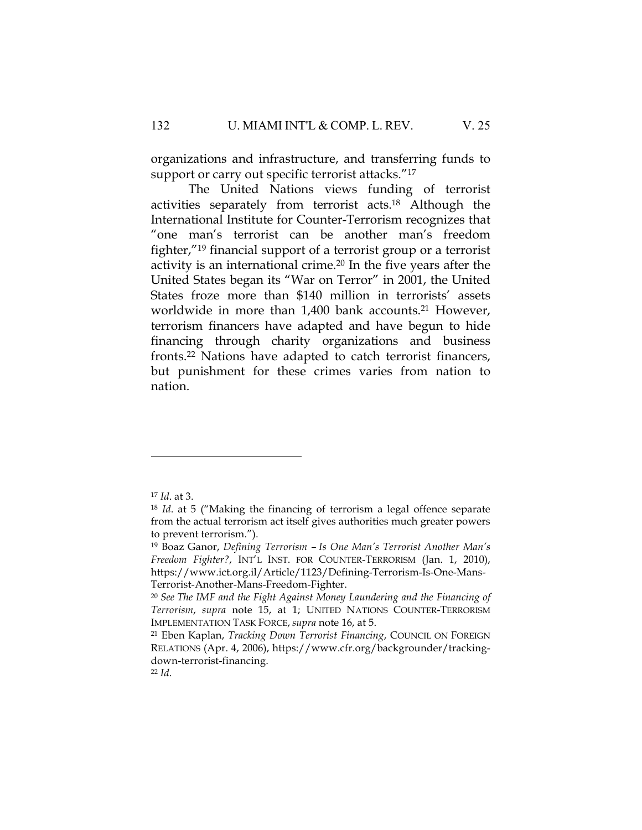organizations and infrastructure, and transferring funds to support or carry out specific terrorist attacks."<sup>17</sup>

The United Nations views funding of terrorist activities separately from terrorist acts.18 Although the International Institute for Counter-Terrorism recognizes that "one man's terrorist can be another man's freedom fighter,"19 financial support of a terrorist group or a terrorist activity is an international crime.20 In the five years after the United States began its "War on Terror" in 2001, the United States froze more than \$140 million in terrorists' assets worldwide in more than 1,400 bank accounts.<sup>21</sup> However, terrorism financers have adapted and have begun to hide financing through charity organizations and business fronts.22 Nations have adapted to catch terrorist financers, but punishment for these crimes varies from nation to nation.

<sup>17</sup> *Id*. at 3.

<sup>18</sup> *Id*. at 5 ("Making the financing of terrorism a legal offence separate from the actual terrorism act itself gives authorities much greater powers to prevent terrorism.").

<sup>19</sup> Boaz Ganor, *Defining Terrorism – Is One Man's Terrorist Another Man's Freedom Fighter?*, INT'L INST. FOR COUNTER-TERRORISM (Jan. 1, 2010), https://www.ict.org.il/Article/1123/Defining-Terrorism-Is-One-Mans-Terrorist-Another-Mans-Freedom-Fighter.

<sup>20</sup> *See The IMF and the Fight Against Money Laundering and the Financing of Terrorism*, *supra* note 15, at 1; UNITED NATIONS COUNTER-TERRORISM IMPLEMENTATION TASK FORCE, *supra* note 16, at 5.

<sup>21</sup> Eben Kaplan, *Tracking Down Terrorist Financing*, COUNCIL ON FOREIGN RELATIONS (Apr. 4, 2006), https://www.cfr.org/backgrounder/trackingdown-terrorist-financing.

<sup>22</sup> *Id*.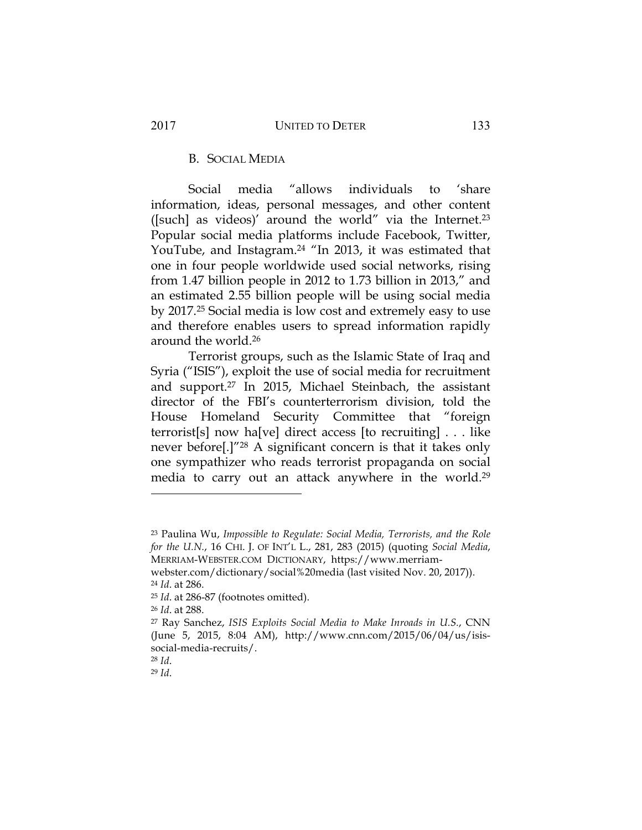## B. SOCIAL MEDIA

Social media "allows individuals to 'share information, ideas, personal messages, and other content ([such] as videos)' around the world" via the Internet.23 Popular social media platforms include Facebook, Twitter, YouTube, and Instagram.<sup>24</sup> "In 2013, it was estimated that one in four people worldwide used social networks, rising from 1.47 billion people in 2012 to 1.73 billion in 2013," and an estimated 2.55 billion people will be using social media by 2017.25 Social media is low cost and extremely easy to use and therefore enables users to spread information rapidly around the world.26

Terrorist groups, such as the Islamic State of Iraq and Syria ("ISIS"), exploit the use of social media for recruitment and support.27 In 2015, Michael Steinbach, the assistant director of the FBI's counterterrorism division, told the House Homeland Security Committee that "foreign terrorist[s] now ha[ve] direct access [to recruiting] . . . like never before[.]"28 A significant concern is that it takes only one sympathizer who reads terrorist propaganda on social media to carry out an attack anywhere in the world.29

<sup>23</sup> Paulina Wu, *Impossible to Regulate: Social Media, Terrorists, and the Role for the U.N.*, 16 CHI. J. OF INT'L L., 281, 283 (2015) (quoting *Social Media*, MERRIAM-WEBSTER.COM\_DICTIONARY,\_https://www.merriam-

webster.com/dictionary/social%20media (last visited Nov. 20, 2017)). <sup>24</sup> *Id*. at 286.

<sup>25</sup> *Id*. at 286-87 (footnotes omitted).

<sup>26</sup> *Id*. at 288.

<sup>27</sup> Ray Sanchez, *ISIS Exploits Social Media to Make Inroads in U.S.*, CNN (June 5, 2015, 8:04 AM), http://www.cnn.com/2015/06/04/us/isissocial-media-recruits/.

<sup>28</sup> *Id*.

<sup>29</sup> *Id*.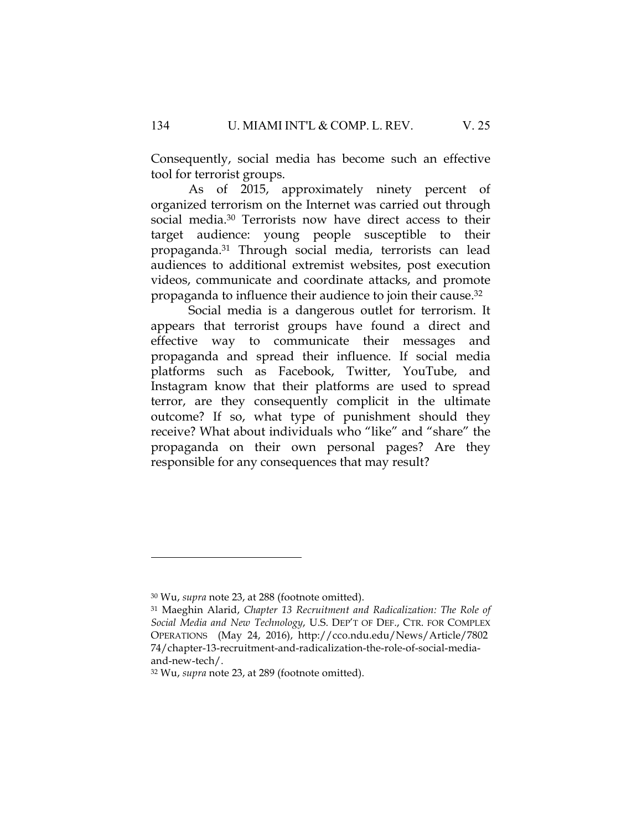Consequently, social media has become such an effective tool for terrorist groups.

As of 2015, approximately ninety percent of organized terrorism on the Internet was carried out through social media.30 Terrorists now have direct access to their target audience: young people susceptible to their propaganda.31 Through social media, terrorists can lead audiences to additional extremist websites, post execution videos, communicate and coordinate attacks, and promote propaganda to influence their audience to join their cause.32

Social media is a dangerous outlet for terrorism. It appears that terrorist groups have found a direct and effective way to communicate their messages and propaganda and spread their influence. If social media platforms such as Facebook, Twitter, YouTube, and Instagram know that their platforms are used to spread terror, are they consequently complicit in the ultimate outcome? If so, what type of punishment should they receive? What about individuals who "like" and "share" the propaganda on their own personal pages? Are they responsible for any consequences that may result?

<sup>30</sup> Wu, *supra* note 23, at 288 (footnote omitted).

<sup>31</sup> Maeghin Alarid, *Chapter 13 Recruitment and Radicalization: The Role of Social Media and New Technology*, U.S. DEP'T OF DEF., CTR. FOR COMPLEX OPERATIONS\_\_(May\_24,\_2016),\_http://cco.ndu.edu/News/Article/7802 74/chapter-13-recruitment-and-radicalization-the-role-of-social-mediaand-new-tech/.

<sup>32</sup> Wu, *supra* note 23, at 289 (footnote omitted).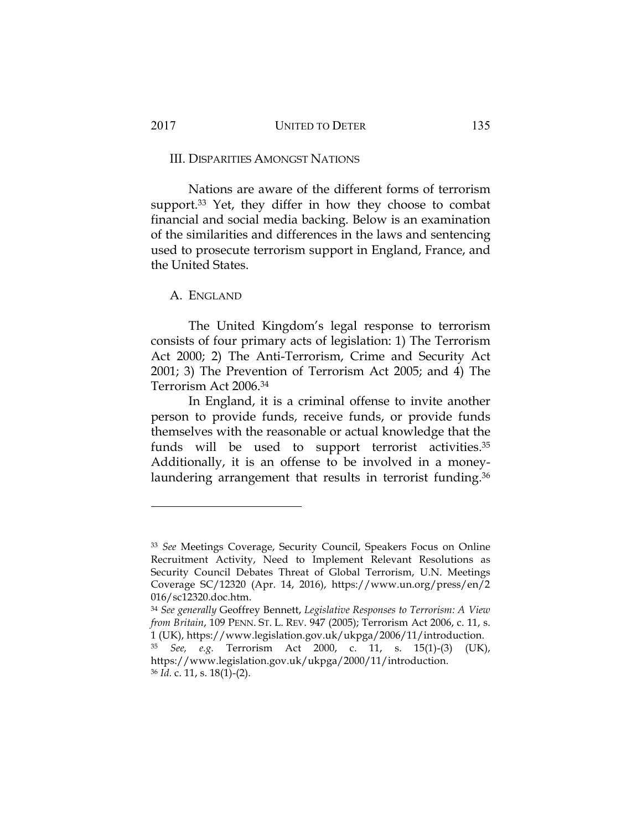#### III. DISPARITIES AMONGST NATIONS

Nations are aware of the different forms of terrorism support.<sup>33</sup> Yet, they differ in how they choose to combat financial and social media backing. Below is an examination of the similarities and differences in the laws and sentencing used to prosecute terrorism support in England, France, and the United States.

#### A. ENGLAND

The United Kingdom's legal response to terrorism consists of four primary acts of legislation: 1) The Terrorism Act 2000; 2) The Anti-Terrorism, Crime and Security Act 2001; 3) The Prevention of Terrorism Act 2005; and 4) The Terrorism Act 2006.34

In England, it is a criminal offense to invite another person to provide funds, receive funds, or provide funds themselves with the reasonable or actual knowledge that the funds will be used to support terrorist activities.<sup>35</sup> Additionally, it is an offense to be involved in a moneylaundering arrangement that results in terrorist funding.<sup>36</sup>

<sup>33</sup> *See* Meetings Coverage, Security Council, Speakers Focus on Online Recruitment Activity, Need to Implement Relevant Resolutions as Security Council Debates Threat of Global Terrorism, U.N. Meetings Coverage SC/12320 (Apr. 14, 2016), https://www.un.org/press/en/2 016/sc12320.doc.htm.

<sup>34</sup> *See generally* Geoffrey Bennett, *Legislative Responses to Terrorism: A View from Britain*, 109 PENN. ST. L. REV. 947 (2005); Terrorism Act 2006, c. 11, s. 1 (UK), https://www.legislation.gov.uk/ukpga/2006/11/introduction.

<sup>35</sup> *See, e.g.* Terrorism Act 2000, c. 11, s. 15(1)-(3) (UK), https://www.legislation.gov.uk/ukpga/2000/11/introduction. <sup>36</sup> *Id.* c. 11, s. 18(1)-(2).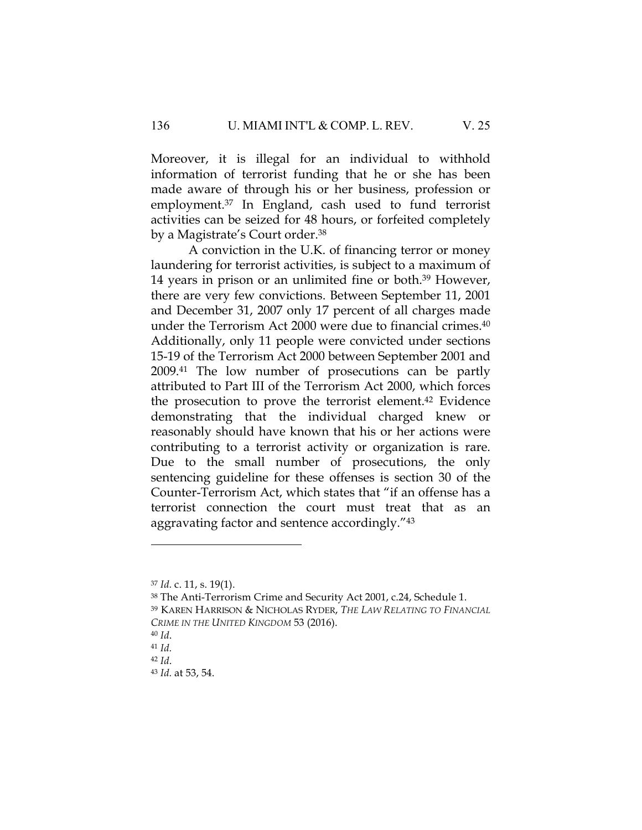Moreover, it is illegal for an individual to withhold information of terrorist funding that he or she has been made aware of through his or her business, profession or employment.37 In England, cash used to fund terrorist activities can be seized for 48 hours, or forfeited completely by a Magistrate's Court order.38

A conviction in the U.K. of financing terror or money laundering for terrorist activities, is subject to a maximum of 14 years in prison or an unlimited fine or both.39 However, there are very few convictions. Between September 11, 2001 and December 31, 2007 only 17 percent of all charges made under the Terrorism Act 2000 were due to financial crimes.40 Additionally, only 11 people were convicted under sections 15-19 of the Terrorism Act 2000 between September 2001 and 2009.41 The low number of prosecutions can be partly attributed to Part III of the Terrorism Act 2000, which forces the prosecution to prove the terrorist element.42 Evidence demonstrating that the individual charged knew or reasonably should have known that his or her actions were contributing to a terrorist activity or organization is rare. Due to the small number of prosecutions, the only sentencing guideline for these offenses is section 30 of the Counter-Terrorism Act, which states that "if an offense has a terrorist connection the court must treat that as an aggravating factor and sentence accordingly."43

- <sup>38</sup> The Anti-Terrorism Crime and Security Act 2001, c.24, Schedule 1. <sup>39</sup> KAREN HARRISON & NICHOLAS RYDER, *THE LAW RELATING TO FINANCIAL CRIME IN THE UNITED KINGDOM* 53 (2016).
- <sup>40</sup> *Id*.

<sup>37</sup> *Id.* c. 11, s. 19(1).

<sup>41</sup> *Id.*

<sup>42</sup> *Id*.

<sup>43</sup> *Id.* at 53, 54.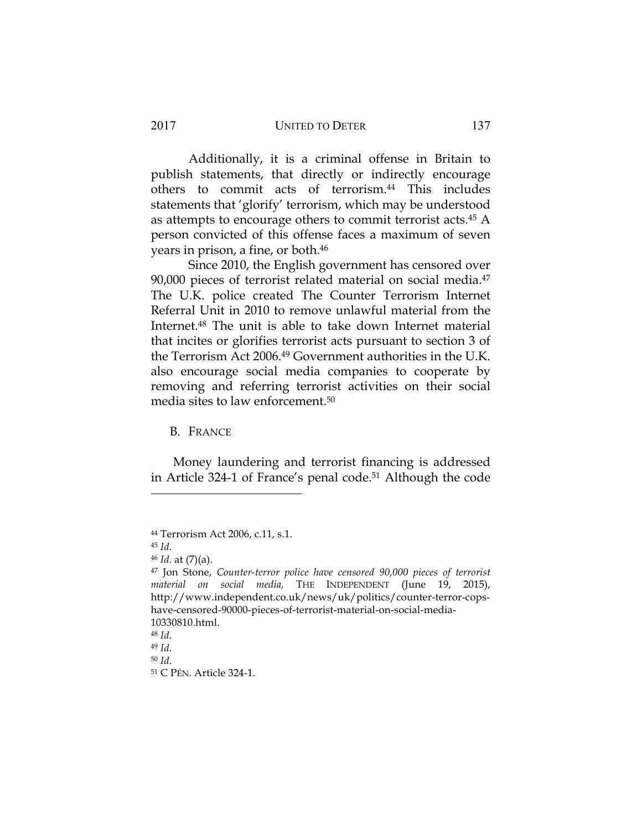Additionally, it is a criminal offense in Britain to publish statements, that directly or indirectly encourage others to commit acts of terrorism.44 This includes statements that 'glorify' terrorism, which may be understood as attempts to encourage others to commit terrorist acts.45 A person convicted of this offense faces a maximum of seven years in prison, a fine, or both.46

Since 2010, the English government has censored over 90,000 pieces of terrorist related material on social media.<sup>47</sup> The U.K. police created The Counter Terrorism Internet Referral Unit in 2010 to remove unlawful material from the Internet.48 The unit is able to take down Internet material that incites or glorifies terrorist acts pursuant to section 3 of the Terrorism Act 2006.49 Government authorities in the U.K. also encourage social media companies to cooperate by removing and referring terrorist activities on their social media sites to law enforcement.50

B. FRANCE

Money laundering and terrorist financing is addressed in Article 324-1 of France's penal code.51 Although the code

<sup>44</sup> Terrorism Act 2006, c.11, s.1.

<sup>45</sup> *Id.* 

<sup>46</sup> *Id*. at (7)(a).

<sup>47</sup> Jon Stone, *Counter-terror police have censored 90,000 pieces of terrorist material on social media,* THE INDEPENDENT (June 19, 2015), http://www.independent.co.uk/news/uk/politics/counter-terror-copshave-censored-90000-pieces-of-terrorist-material-on-social-media-10330810.html.

<sup>48</sup> *Id*.

<sup>49</sup> *Id*.

<sup>50</sup> *Id*.

<sup>51</sup> C PÉN. Article 324-1.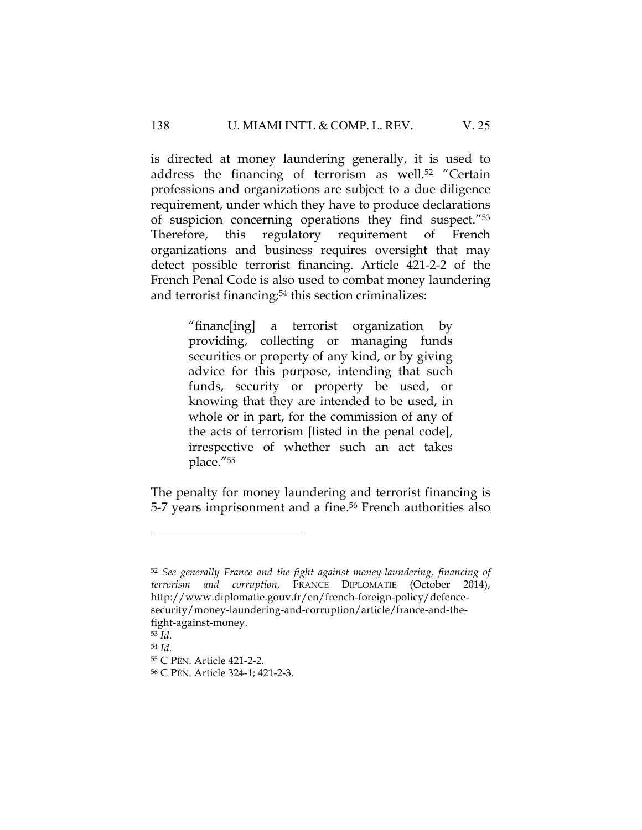is directed at money laundering generally, it is used to address the financing of terrorism as well.<sup>52</sup> "Certain professions and organizations are subject to a due diligence requirement, under which they have to produce declarations of suspicion concerning operations they find suspect."53 Therefore, this regulatory requirement of French organizations and business requires oversight that may detect possible terrorist financing. Article 421-2-2 of the French Penal Code is also used to combat money laundering and terrorist financing;<sup>54</sup> this section criminalizes:

> "financ[ing] a terrorist organization by providing, collecting or managing funds securities or property of any kind, or by giving advice for this purpose, intending that such funds, security or property be used, or knowing that they are intended to be used, in whole or in part, for the commission of any of the acts of terrorism [listed in the penal code], irrespective of whether such an act takes place."55

The penalty for money laundering and terrorist financing is 5-7 years imprisonment and a fine.56 French authorities also

<sup>52</sup> *See generally France and the fight against money-laundering, financing of terrorism and corruption*, FRANCE DIPLOMATIE (October 2014), http://www.diplomatie.gouv.fr/en/french-foreign-policy/defencesecurity/money-laundering-and-corruption/article/france-and-thefight-against-money.

<sup>53</sup> *Id*. <sup>54</sup> *Id*.

<sup>55</sup> C PÉN. Article 421-2-2.

<sup>56</sup> C PÉN. Article 324-1; 421-2-3.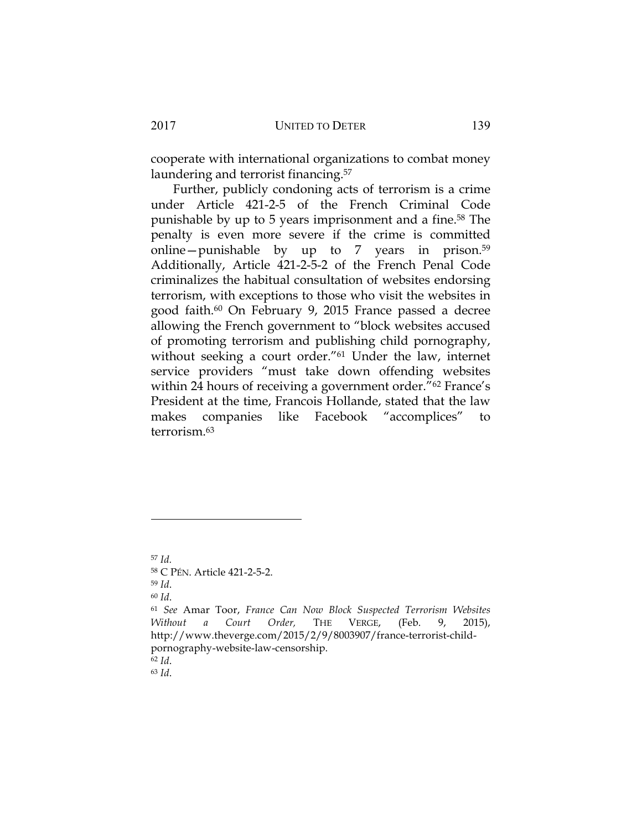cooperate with international organizations to combat money laundering and terrorist financing.<sup>57</sup>

Further, publicly condoning acts of terrorism is a crime under Article 421-2-5 of the French Criminal Code punishable by up to 5 years imprisonment and a fine.58 The penalty is even more severe if the crime is committed online—punishable by up to 7 years in prison.<sup>59</sup> Additionally, Article 421-2-5-2 of the French Penal Code criminalizes the habitual consultation of websites endorsing terrorism, with exceptions to those who visit the websites in good faith.60 On February 9, 2015 France passed a decree allowing the French government to "block websites accused of promoting terrorism and publishing child pornography, without seeking a court order."61 Under the law, internet service providers "must take down offending websites within 24 hours of receiving a government order."<sup>62</sup> France's President at the time, Francois Hollande, stated that the law makes companies like Facebook "accomplices" to terrorism.63

 $\overline{a}$ 

<sup>63</sup> *Id*.

<sup>57</sup> *Id.* 

<sup>58</sup> C PÉN. Article 421-2-5-2.

<sup>59</sup> *Id*.

<sup>60</sup> *Id*.

<sup>61</sup> *See* Amar Toor, *France Can Now Block Suspected Terrorism Websites Without a Court Order,* THE VERGE, (Feb. 9, 2015), http://www.theverge.com/2015/2/9/8003907/france-terrorist-childpornography-website-law-censorship. <sup>62</sup> *Id*.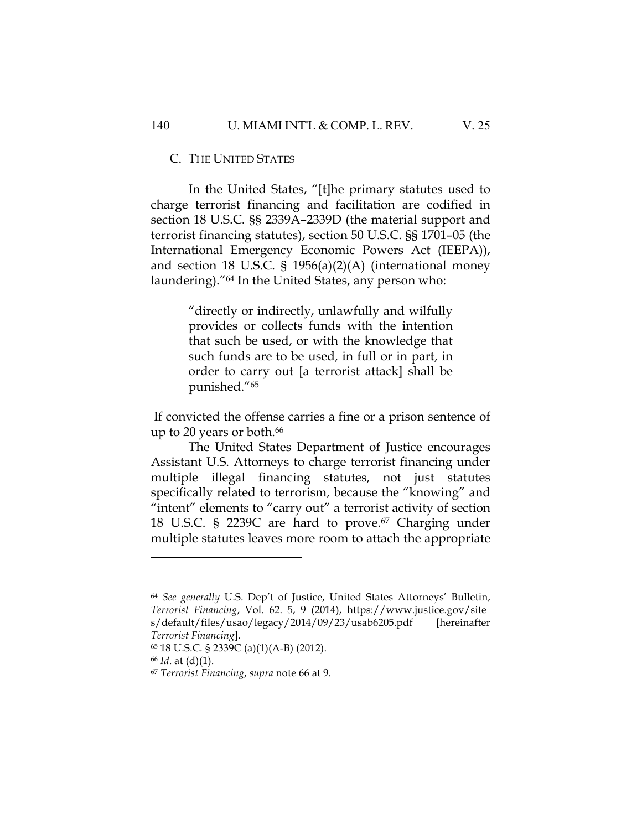# C. THE UNITED STATES

In the United States, "[t]he primary statutes used to charge terrorist financing and facilitation are codified in section 18 U.S.C. §§ 2339A–2339D (the material support and terrorist financing statutes), section 50 U.S.C. §§ 1701–05 (the International Emergency Economic Powers Act (IEEPA)), and section 18 U.S.C. § 1956(a)(2)(A) (international money laundering)."64 In the United States, any person who:

> "directly or indirectly, unlawfully and wilfully provides or collects funds with the intention that such be used, or with the knowledge that such funds are to be used, in full or in part, in order to carry out [a terrorist attack] shall be punished."65

If convicted the offense carries a fine or a prison sentence of up to 20 years or both.<sup>66</sup>

The United States Department of Justice encourages Assistant U.S. Attorneys to charge terrorist financing under multiple illegal financing statutes, not just statutes specifically related to terrorism, because the "knowing" and "intent" elements to "carry out" a terrorist activity of section 18 U.S.C. § 2239C are hard to prove.67 Charging under multiple statutes leaves more room to attach the appropriate

<sup>64</sup> *See generally* U.S. Dep't of Justice, United States Attorneys' Bulletin, *Terrorist\_Financing*,\_Vol.\_62.\_5,\_9\_(2014),\_https://www.justice.gov/site s/default/files/usao/legacy/2014/09/23/usab6205.pdf [hereinafter *Terrorist Financing*].

<sup>65</sup> 18 U.S.C. § 2339C (a)(1)(A-B) (2012).

<sup>66</sup> *Id*. at (d)(1).

<sup>67</sup> *Terrorist Financing*, *supra* note 66 at 9.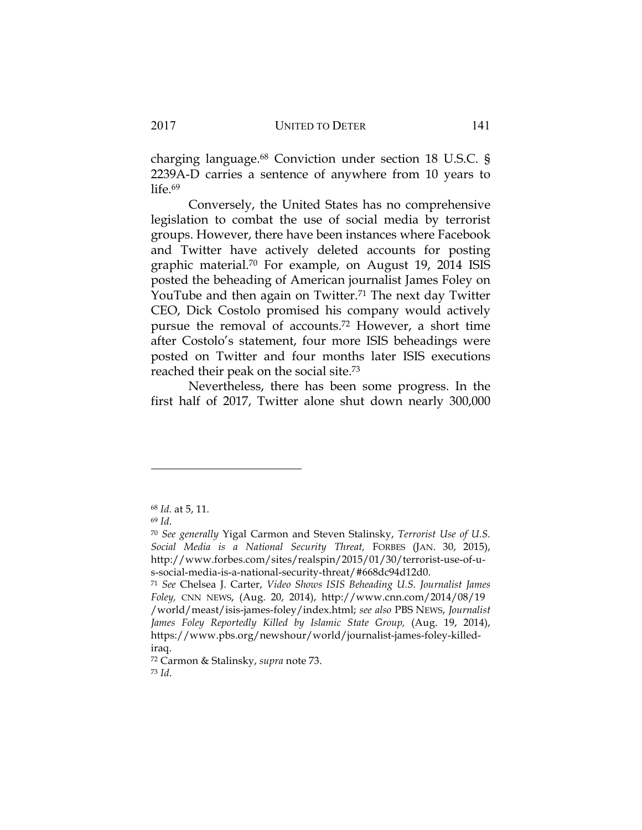charging language.68 Conviction under section 18 U.S.C. § 2239A-D carries a sentence of anywhere from 10 years to life.<sup>69</sup>

Conversely, the United States has no comprehensive legislation to combat the use of social media by terrorist groups. However, there have been instances where Facebook and Twitter have actively deleted accounts for posting graphic material.70 For example, on August 19, 2014 ISIS posted the beheading of American journalist James Foley on YouTube and then again on Twitter.<sup>71</sup> The next day Twitter CEO, Dick Costolo promised his company would actively pursue the removal of accounts.72 However, a short time after Costolo's statement, four more ISIS beheadings were posted on Twitter and four months later ISIS executions reached their peak on the social site.73

Nevertheless, there has been some progress. In the first half of 2017, Twitter alone shut down nearly 300,000

<sup>68</sup> *Id.* at 5, 11.

<sup>69</sup> *Id*.

<sup>70</sup> *See generally* Yigal Carmon and Steven Stalinsky, *Terrorist Use of U.S. Social Media is a National Security Threat,* FORBES (JAN. 30, 2015), http://www.forbes.com/sites/realspin/2015/01/30/terrorist-use-of-us-social-media-is-a-national-security-threat/#668dc94d12d0.

<sup>71</sup> *See* Chelsea J. Carter, *Video Shows ISIS Beheading U.S. Journalist James Foley,\_*CNN\_NEWS,\_(Aug.\_20,\_2014),\_http://www.cnn.com/2014/08/19 /world/meast/isis-james-foley/index.html; *see also* PBS NEWS, *Journalist*  James Foley Reportedly Killed by Islamic State Group, (Aug. 19, 2014), https://www.pbs.org/newshour/world/journalist-james-foley-killediraq.

<sup>72</sup> Carmon & Stalinsky, *supra* note 73. <sup>73</sup> *Id*.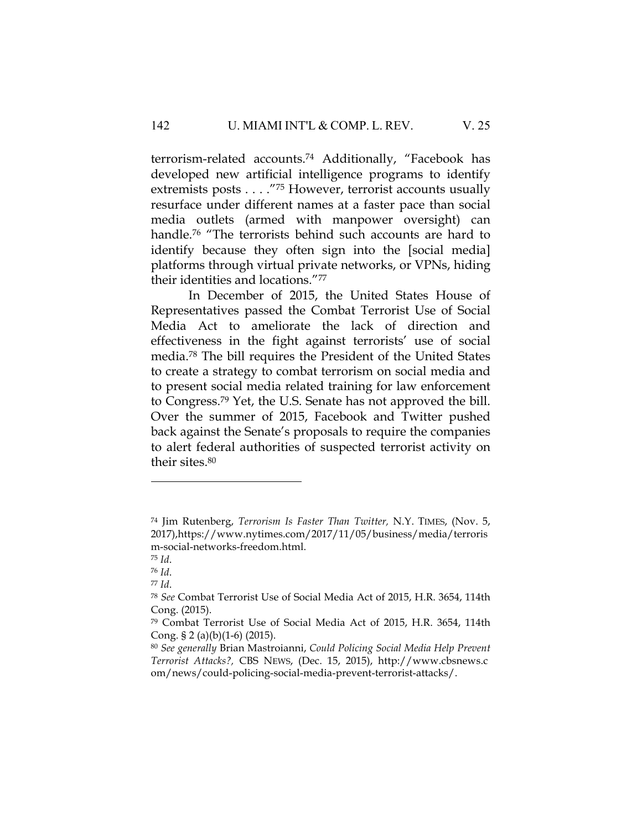terrorism-related accounts.74 Additionally, "Facebook has developed new artificial intelligence programs to identify extremists posts . . . ."75 However, terrorist accounts usually resurface under different names at a faster pace than social media outlets (armed with manpower oversight) can handle.<sup>76</sup> "The terrorists behind such accounts are hard to identify because they often sign into the [social media] platforms through virtual private networks, or VPNs, hiding their identities and locations."77

In December of 2015, the United States House of Representatives passed the Combat Terrorist Use of Social Media Act to ameliorate the lack of direction and effectiveness in the fight against terrorists' use of social media.78 The bill requires the President of the United States to create a strategy to combat terrorism on social media and to present social media related training for law enforcement to Congress.79 Yet, the U.S. Senate has not approved the bill. Over the summer of 2015, Facebook and Twitter pushed back against the Senate's proposals to require the companies to alert federal authorities of suspected terrorist activity on their sites.80

<sup>74</sup> Jim Rutenberg, *Terrorism Is Faster Than Twitter,* N.Y. TIMES, (Nov. 5, 2017),https://www.nytimes.com/2017/11/05/business/media/terroris m-social-networks-freedom.html.

<sup>75</sup> *Id*.

<sup>76</sup> *Id*.

<sup>77</sup> *Id*. 78 *See* Combat Terrorist Use of Social Media Act of 2015, H.R. 3654, 114th Cong. (2015).

<sup>79</sup> Combat Terrorist Use of Social Media Act of 2015, H.R. 3654, 114th Cong. § 2 (a)(b)(1-6) (2015).

<sup>80</sup> *See generally* Brian Mastroianni, *Could Policing Social Media Help Prevent Terrorist\_Attacks?,\_*CBS\_NEWS,\_(Dec.\_15,\_2015),\_http://www.cbsnews.c om/news/could-policing-social-media-prevent-terrorist-attacks/.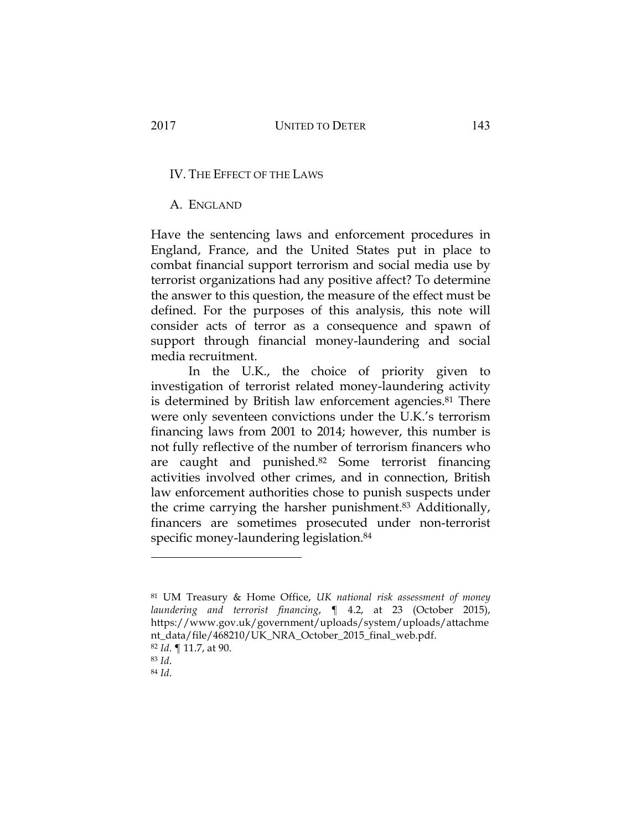### IV. THE EFFECT OF THE LAWS

#### A. ENGLAND

Have the sentencing laws and enforcement procedures in England, France, and the United States put in place to combat financial support terrorism and social media use by terrorist organizations had any positive affect? To determine the answer to this question, the measure of the effect must be defined. For the purposes of this analysis, this note will consider acts of terror as a consequence and spawn of support through financial money-laundering and social media recruitment.

In the U.K., the choice of priority given to investigation of terrorist related money-laundering activity is determined by British law enforcement agencies.<sup>81</sup> There were only seventeen convictions under the U.K.'s terrorism financing laws from 2001 to 2014; however, this number is not fully reflective of the number of terrorism financers who are caught and punished.82 Some terrorist financing activities involved other crimes, and in connection, British law enforcement authorities chose to punish suspects under the crime carrying the harsher punishment.83 Additionally, financers are sometimes prosecuted under non-terrorist specific money-laundering legislation.<sup>84</sup>

<sup>81</sup> UM Treasury & Home Office, *UK national risk assessment of money laundering and terrorist financing*, ¶ 4.2, at 23 (October 2015), https://www.gov.uk/government/uploads/system/uploads/attachme nt\_data/file/468210/UK\_NRA\_October\_2015\_final\_web.pdf.

<sup>82</sup> *Id*. ¶ 11.7, at 90.

<sup>83</sup> *Id*.

<sup>84</sup> *Id*.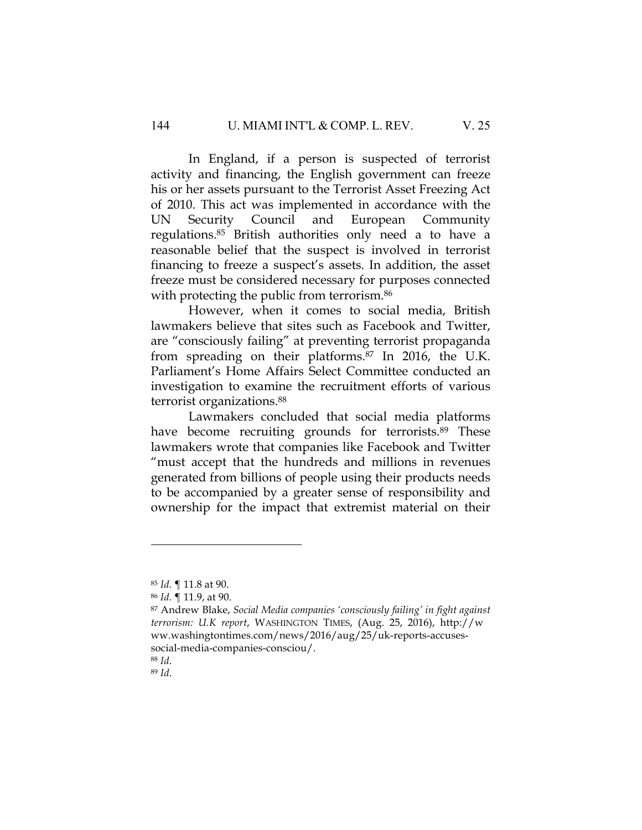In England, if a person is suspected of terrorist activity and financing, the English government can freeze his or her assets pursuant to the Terrorist Asset Freezing Act of 2010. This act was implemented in accordance with the UN Security Council and European Community regulations.85 British authorities only need a to have a reasonable belief that the suspect is involved in terrorist financing to freeze a suspect's assets. In addition, the asset freeze must be considered necessary for purposes connected with protecting the public from terrorism.<sup>86</sup>

However, when it comes to social media, British lawmakers believe that sites such as Facebook and Twitter, are "consciously failing" at preventing terrorist propaganda from spreading on their platforms. $87$  In 2016, the U.K. Parliament's Home Affairs Select Committee conducted an investigation to examine the recruitment efforts of various terrorist organizations.88

Lawmakers concluded that social media platforms have become recruiting grounds for terrorists.<sup>89</sup> These lawmakers wrote that companies like Facebook and Twitter "must accept that the hundreds and millions in revenues generated from billions of people using their products needs to be accompanied by a greater sense of responsibility and ownership for the impact that extremist material on their

<sup>88</sup> *Id*. 89 *Id*.

<sup>85</sup> *Id.* ¶ 11.8 at 90.

<sup>86</sup> *Id.* ¶ 11.9, at 90.

<sup>87</sup> Andrew Blake, *Social Media companies 'consciously failing' in fight against terrorism:\_U.K\_report*,\_WASHINGTON\_TIMES,\_(Aug.\_25,\_2016),\_http://w ww.washingtontimes.com/news/2016/aug/25/uk-reports-accusessocial-media-companies-consciou/.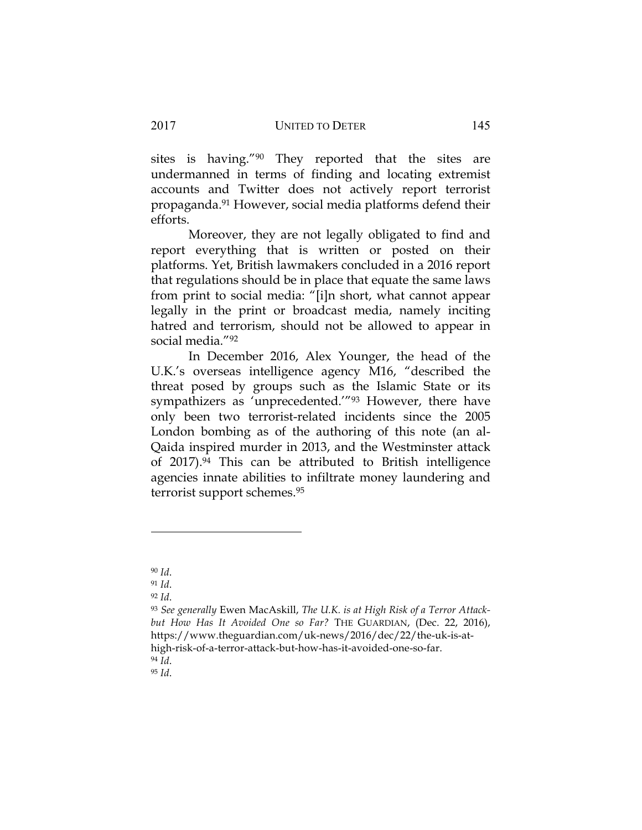sites is having."90 They reported that the sites are undermanned in terms of finding and locating extremist accounts and Twitter does not actively report terrorist propaganda.91 However, social media platforms defend their efforts.

Moreover, they are not legally obligated to find and report everything that is written or posted on their platforms. Yet, British lawmakers concluded in a 2016 report that regulations should be in place that equate the same laws from print to social media: "[i]n short, what cannot appear legally in the print or broadcast media, namely inciting hatred and terrorism, should not be allowed to appear in social media."92

In December 2016, Alex Younger, the head of the U.K.'s overseas intelligence agency M16, "described the threat posed by groups such as the Islamic State or its sympathizers as 'unprecedented.'"93 However, there have only been two terrorist-related incidents since the 2005 London bombing as of the authoring of this note (an al-Qaida inspired murder in 2013, and the Westminster attack of 2017).94 This can be attributed to British intelligence agencies innate abilities to infiltrate money laundering and terrorist support schemes.<sup>95</sup>

<sup>90</sup> *Id*.

<sup>91</sup> *Id*.

<sup>92</sup> *Id*.

<sup>93</sup> *See generally* Ewen MacAskill, *The U.K. is at High Risk of a Terror Attackbut How Has It Avoided One so Far?* THE GUARDIAN, (Dec. 22, 2016), https://www.theguardian.com/uk-news/2016/dec/22/the-uk-is-athigh-risk-of-a-terror-attack-but-how-has-it-avoided-one-so-far. <sup>94</sup> *Id*. 95 *Id*.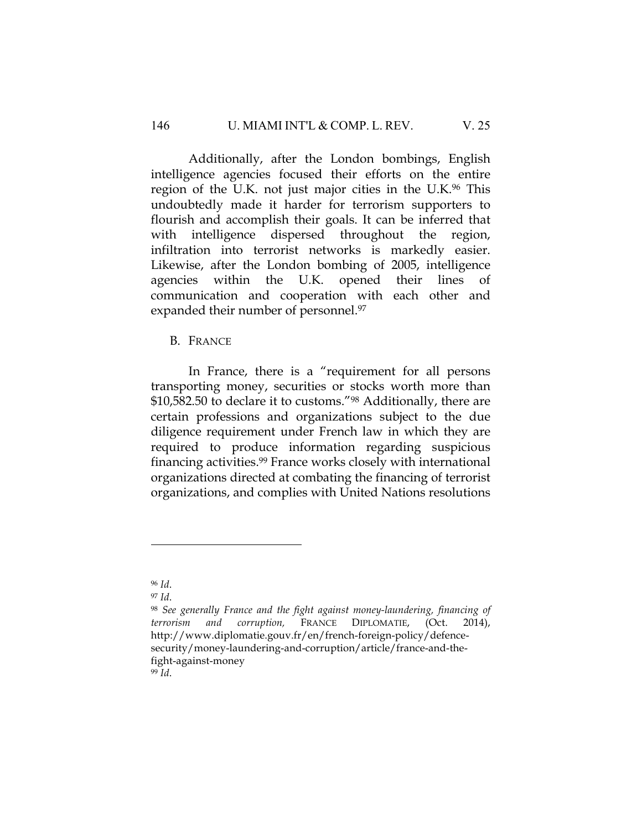Additionally, after the London bombings, English intelligence agencies focused their efforts on the entire region of the U.K. not just major cities in the U.K.<sup>96</sup> This undoubtedly made it harder for terrorism supporters to flourish and accomplish their goals. It can be inferred that with intelligence dispersed throughout the region, infiltration into terrorist networks is markedly easier. Likewise, after the London bombing of 2005, intelligence agencies within the U.K. opened their lines of communication and cooperation with each other and expanded their number of personnel.<sup>97</sup>

B. FRANCE

In France, there is a "requirement for all persons transporting money, securities or stocks worth more than \$10,582.50 to declare it to customs."98 Additionally, there are certain professions and organizations subject to the due diligence requirement under French law in which they are required to produce information regarding suspicious financing activities.99 France works closely with international organizations directed at combating the financing of terrorist organizations, and complies with United Nations resolutions

<sup>96</sup> *Id*.

<sup>97</sup> *Id*.

<sup>98</sup> *See generally France and the fight against money-laundering, financing of terrorism and corruption,* FRANCE DIPLOMATIE, (Oct. 2014), http://www.diplomatie.gouv.fr/en/french-foreign-policy/defencesecurity/money-laundering-and-corruption/article/france-and-thefight-against-money <sup>99</sup> *Id*.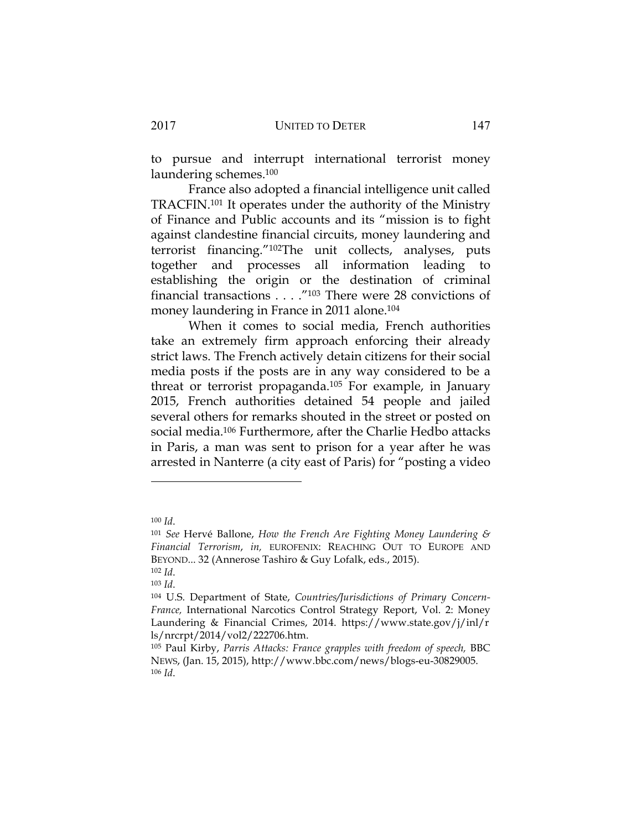to pursue and interrupt international terrorist money laundering schemes.100

France also adopted a financial intelligence unit called TRACFIN.101 It operates under the authority of the Ministry of Finance and Public accounts and its "mission is to fight against clandestine financial circuits, money laundering and terrorist financing."102The unit collects, analyses, puts together and processes all information leading to establishing the origin or the destination of criminal financial transactions . . . ."103 There were 28 convictions of money laundering in France in 2011 alone.<sup>104</sup>

When it comes to social media, French authorities take an extremely firm approach enforcing their already strict laws. The French actively detain citizens for their social media posts if the posts are in any way considered to be a threat or terrorist propaganda.105 For example, in January 2015, French authorities detained 54 people and jailed several others for remarks shouted in the street or posted on social media.106 Furthermore, after the Charlie Hedbo attacks in Paris, a man was sent to prison for a year after he was arrested in Nanterre (a city east of Paris) for "posting a video

<sup>100</sup> *Id*.

<sup>101</sup> *See* Hervé Ballone, *How the French Are Fighting Money Laundering & Financial Terrorism*, *in,* EUROFENIX: REACHING OUT TO EUROPE AND BEYOND... 32 (Annerose Tashiro & Guy Lofalk, eds., 2015). <sup>102</sup> *Id*.

<sup>103</sup> *Id*.

<sup>104</sup> U.S. Department of State, *Countries/Jurisdictions of Primary Concern-France,* International Narcotics Control Strategy Report, Vol. 2: Money Laundering & Financial Crimes, 2014. https://www.state.gov/j/inl/r ls/nrcrpt/2014/vol2/222706.htm.

<sup>105</sup> Paul Kirby, *Parris Attacks: France grapples with freedom of speech,* BBC NEWS, (Jan. 15, 2015), http://www.bbc.com/news/blogs-eu-30829005. <sup>106</sup> *Id*.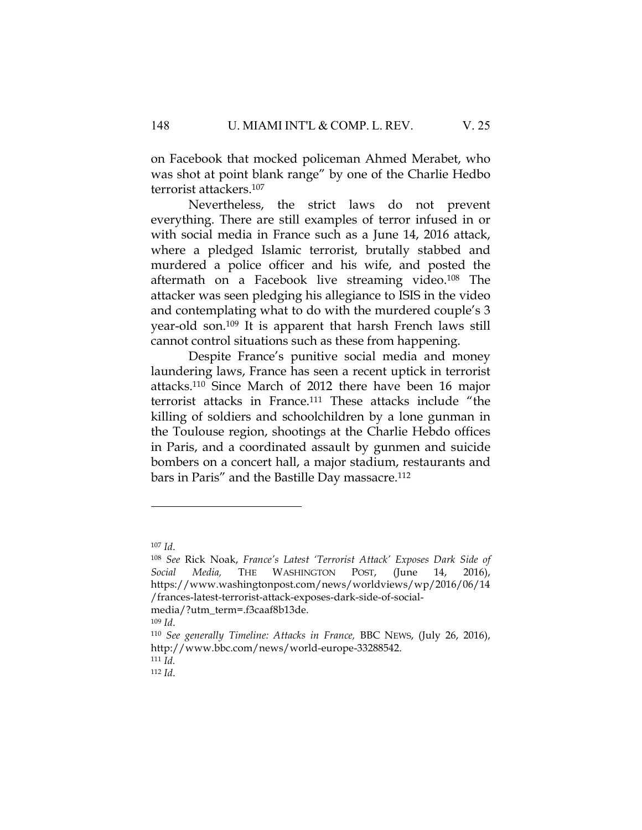on Facebook that mocked policeman Ahmed Merabet, who was shot at point blank range" by one of the Charlie Hedbo terrorist attackers.107

Nevertheless, the strict laws do not prevent everything. There are still examples of terror infused in or with social media in France such as a June 14, 2016 attack, where a pledged Islamic terrorist, brutally stabbed and murdered a police officer and his wife, and posted the aftermath on a Facebook live streaming video.108 The attacker was seen pledging his allegiance to ISIS in the video and contemplating what to do with the murdered couple's 3 year-old son.109 It is apparent that harsh French laws still cannot control situations such as these from happening.

Despite France's punitive social media and money laundering laws, France has seen a recent uptick in terrorist attacks.110 Since March of 2012 there have been 16 major terrorist attacks in France.111 These attacks include "the killing of soldiers and schoolchildren by a lone gunman in the Toulouse region, shootings at the Charlie Hebdo offices in Paris, and a coordinated assault by gunmen and suicide bombers on a concert hall, a major stadium, restaurants and bars in Paris" and the Bastille Day massacre.112

<sup>107</sup> *Id*. 108 *See* Rick Noak, *France's Latest 'Terrorist Attack' Exposes Dark Side of Social Media,* THE WASHINGTON POST, (June 14, 2016), https://www.washingtonpost.com/news/worldviews/wp/2016/06/14 /frances-latest-terrorist-attack-exposes-dark-side-of-socialmedia/?utm\_term=.f3caaf8b13de. <sup>109</sup> *Id*.

<sup>110</sup> *See generally Timeline: Attacks in France,* BBC NEWS, (July 26, 2016), http://www.bbc.com/news/world-europe-33288542. <sup>111</sup> *Id.*

<sup>112</sup> *Id*.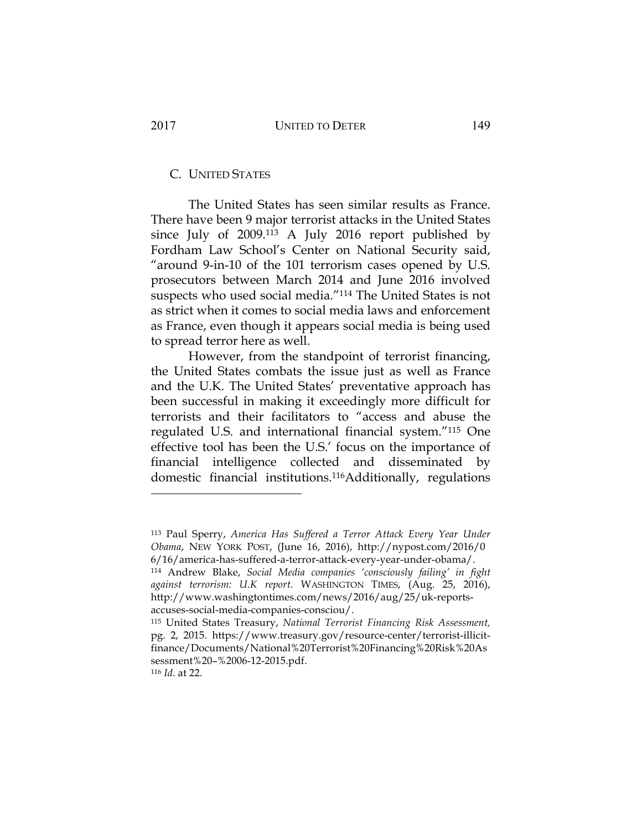# C. UNITED STATES

The United States has seen similar results as France. There have been 9 major terrorist attacks in the United States since July of 2009.113 A July 2016 report published by Fordham Law School's Center on National Security said, "around 9-in-10 of the 101 terrorism cases opened by U.S. prosecutors between March 2014 and June 2016 involved suspects who used social media."114 The United States is not as strict when it comes to social media laws and enforcement as France, even though it appears social media is being used to spread terror here as well.

However, from the standpoint of terrorist financing, the United States combats the issue just as well as France and the U.K. The United States' preventative approach has been successful in making it exceedingly more difficult for terrorists and their facilitators to "access and abuse the regulated U.S. and international financial system."115 One effective tool has been the U.S.' focus on the importance of financial intelligence collected and disseminated by domestic financial institutions.116Additionally, regulations

<sup>113</sup> Paul Sperry, *America Has Suffered a Terror Attack Every Year Under Obama*,\_NEW\_YORK\_POST,\_(June\_16,\_2016),\_http://nypost.com/2016/0 6/16/america-has-suffered-a-terror-attack-every-year-under-obama/.

<sup>114</sup> Andrew Blake, *Social Media companies 'consciously failing' in fight against terrorism: U.K report*. WASHINGTON TIMES, (Aug. 25, 2016), http://www.washingtontimes.com/news/2016/aug/25/uk-reportsaccuses-social-media-companies-consciou/.

<sup>115</sup> United States Treasury, *National Terrorist Financing Risk Assessment,*  pg. 2, 2015. https://www.treasury.gov/resource-center/terrorist-illicitfinance/Documents/National%20Terrorist%20Financing%20Risk%20As sessment%20–%2006-12-2015.pdf.

<sup>116</sup> *Id*. at 22.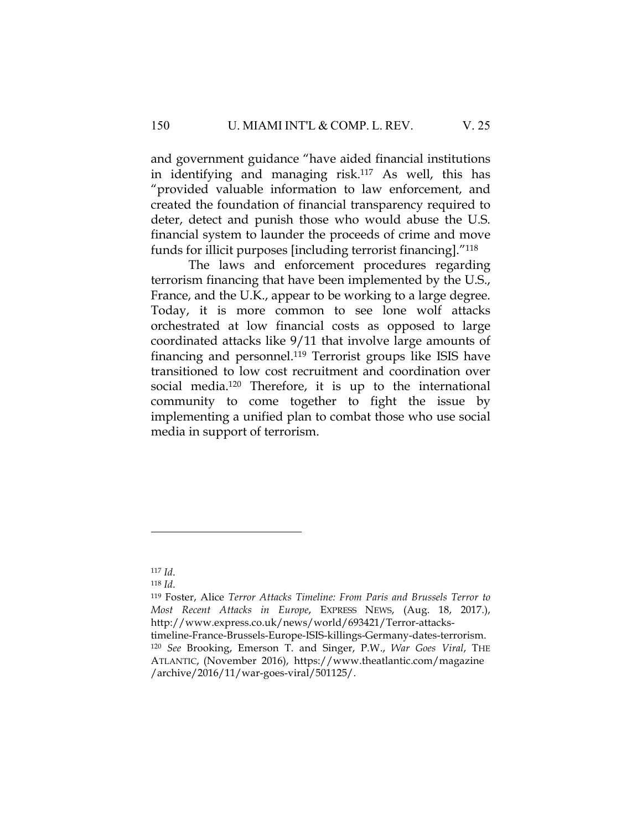and government guidance "have aided financial institutions in identifying and managing risk.117 As well, this has "provided valuable information to law enforcement, and created the foundation of financial transparency required to deter, detect and punish those who would abuse the U.S. financial system to launder the proceeds of crime and move funds for illicit purposes [including terrorist financing]."118

The laws and enforcement procedures regarding terrorism financing that have been implemented by the U.S., France, and the U.K., appear to be working to a large degree. Today, it is more common to see lone wolf attacks orchestrated at low financial costs as opposed to large coordinated attacks like 9/11 that involve large amounts of financing and personnel.119 Terrorist groups like ISIS have transitioned to low cost recruitment and coordination over social media.120 Therefore, it is up to the international community to come together to fight the issue by implementing a unified plan to combat those who use social media in support of terrorism.

<sup>117</sup> *Id*.

<sup>118</sup> *Id*.

<sup>119</sup> Foster, Alice *Terror Attacks Timeline: From Paris and Brussels Terror to Most Recent Attacks in Europe*, EXPRESS NEWS, (Aug. 18, 2017.), http://www.express.co.uk/news/world/693421/Terror-attackstimeline-France-Brussels-Europe-ISIS-killings-Germany-dates-terrorism. <sup>120</sup> *See* Brooking, Emerson T. and Singer, P.W., *War Goes Viral*, THE ATLANTIC, (November 2016), https://www.theatlantic.com/magazine /archive/2016/11/war-goes-viral/501125/.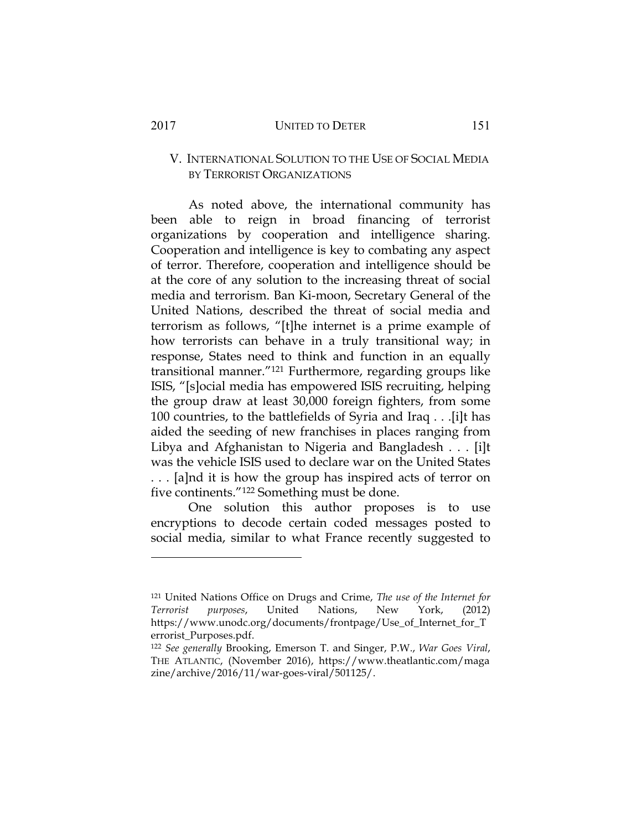#### 2017 UNITED TO DETER 151

# V. INTERNATIONAL SOLUTION TO THE USE OF SOCIAL MEDIA BY TERRORIST ORGANIZATIONS

As noted above, the international community has been able to reign in broad financing of terrorist organizations by cooperation and intelligence sharing. Cooperation and intelligence is key to combating any aspect of terror. Therefore, cooperation and intelligence should be at the core of any solution to the increasing threat of social media and terrorism. Ban Ki-moon, Secretary General of the United Nations, described the threat of social media and terrorism as follows, "[t]he internet is a prime example of how terrorists can behave in a truly transitional way; in response, States need to think and function in an equally transitional manner."121 Furthermore, regarding groups like ISIS, "[s]ocial media has empowered ISIS recruiting, helping the group draw at least 30,000 foreign fighters, from some 100 countries, to the battlefields of Syria and Iraq . . .[i]t has aided the seeding of new franchises in places ranging from Libya and Afghanistan to Nigeria and Bangladesh . . . [i]t was the vehicle ISIS used to declare war on the United States . . . [a]nd it is how the group has inspired acts of terror on five continents."122 Something must be done.

One solution this author proposes is to use encryptions to decode certain coded messages posted to social media, similar to what France recently suggested to

<sup>121</sup> United Nations Office on Drugs and Crime, *The use of the Internet for Terrorist purposes*, United Nations, New York, (2012) https://www.unodc.org/documents/frontpage/Use\_of\_Internet\_for\_T errorist\_Purposes.pdf.

<sup>122</sup> *See generally* Brooking, Emerson T. and Singer, P.W., *War Goes Viral*, THE\_ATLANTIC, (November\_2016), https://www.theatlantic.com/maga zine/archive/2016/11/war-goes-viral/501125/.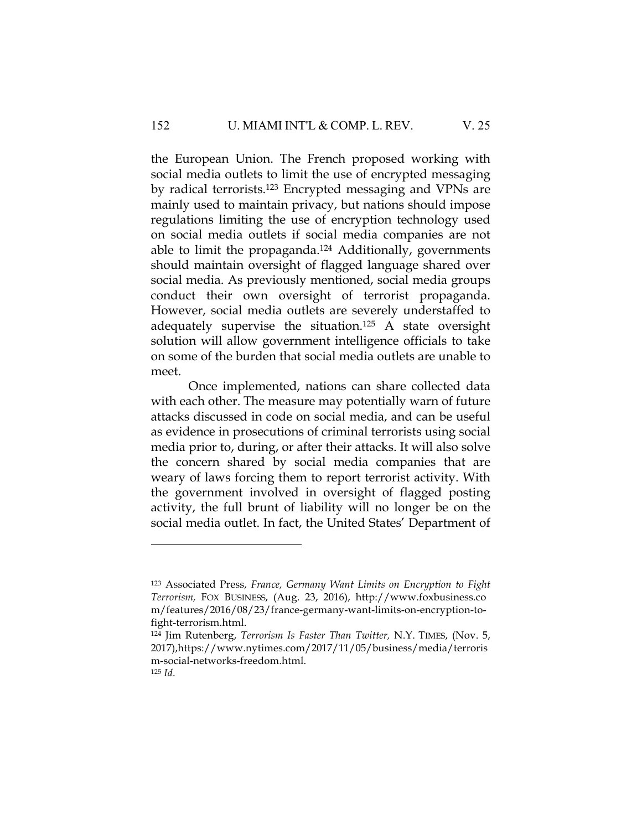the European Union. The French proposed working with social media outlets to limit the use of encrypted messaging by radical terrorists.123 Encrypted messaging and VPNs are mainly used to maintain privacy, but nations should impose regulations limiting the use of encryption technology used on social media outlets if social media companies are not able to limit the propaganda.124 Additionally, governments should maintain oversight of flagged language shared over social media. As previously mentioned, social media groups conduct their own oversight of terrorist propaganda. However, social media outlets are severely understaffed to adequately supervise the situation.125 A state oversight solution will allow government intelligence officials to take on some of the burden that social media outlets are unable to meet.

Once implemented, nations can share collected data with each other. The measure may potentially warn of future attacks discussed in code on social media, and can be useful as evidence in prosecutions of criminal terrorists using social media prior to, during, or after their attacks. It will also solve the concern shared by social media companies that are weary of laws forcing them to report terrorist activity. With the government involved in oversight of flagged posting activity, the full brunt of liability will no longer be on the social media outlet. In fact, the United States' Department of

<sup>123</sup> Associated Press, *France, Germany Want Limits on Encryption to Fight Terrorism,\_*FOX\_BUSINESS,\_(Aug.\_23,\_2016),\_http://www.foxbusiness.co m/features/2016/08/23/france-germany-want-limits-on-encryption-tofight-terrorism.html.

<sup>124</sup> Jim Rutenberg, *Terrorism Is Faster Than Twitter,* N.Y. TIMES, (Nov. 5, 2017),https://www.nytimes.com/2017/11/05/business/media/terroris m-social-networks-freedom.html.

<sup>125</sup> *Id*.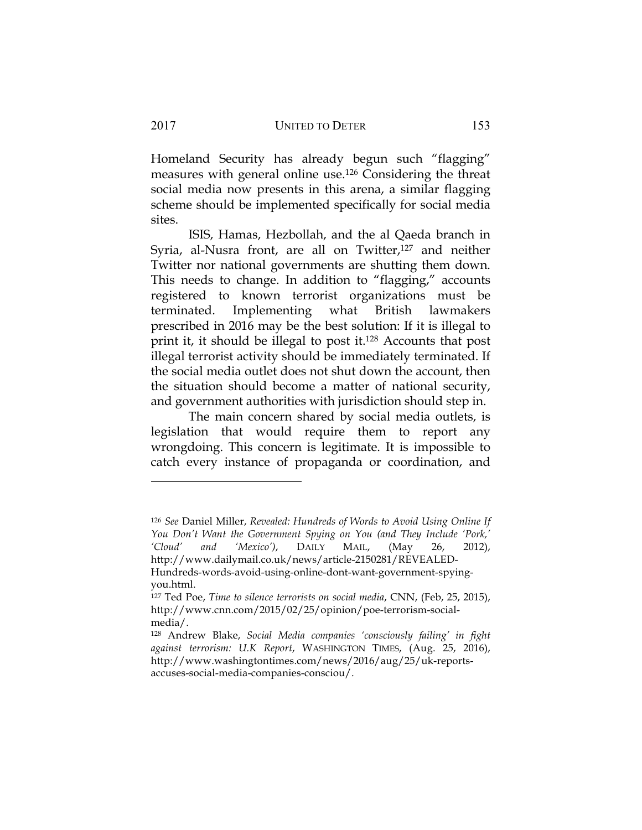Homeland Security has already begun such "flagging" measures with general online use.126 Considering the threat social media now presents in this arena, a similar flagging scheme should be implemented specifically for social media sites.

ISIS, Hamas, Hezbollah, and the al Qaeda branch in Syria, al-Nusra front, are all on Twitter, $127$  and neither Twitter nor national governments are shutting them down. This needs to change. In addition to "flagging," accounts registered to known terrorist organizations must be terminated. Implementing what British lawmakers prescribed in 2016 may be the best solution: If it is illegal to print it, it should be illegal to post it.128 Accounts that post illegal terrorist activity should be immediately terminated. If the social media outlet does not shut down the account, then the situation should become a matter of national security, and government authorities with jurisdiction should step in.

The main concern shared by social media outlets, is legislation that would require them to report any wrongdoing. This concern is legitimate. It is impossible to catch every instance of propaganda or coordination, and

<sup>126</sup> *See* Daniel Miller, *Revealed: Hundreds of Words to Avoid Using Online If You Don't Want the Government Spying on You (and They Include 'Pork,' 'Cloud' and 'Mexico')*, DAILY MAIL, (May 26, 2012), http://www.dailymail.co.uk/news/article-2150281/REVEALED-Hundreds-words-avoid-using-online-dont-want-government-spyingyou.html.

<sup>127</sup> Ted Poe, *Time to silence terrorists on social media*, CNN, (Feb, 25, 2015), http://www.cnn.com/2015/02/25/opinion/poe-terrorism-socialmedia/.

<sup>128</sup> Andrew Blake, *Social Media companies 'consciously failing' in fight against terrorism: U.K Report*, WASHINGTON TIMES, (Aug. 25, 2016), http://www.washingtontimes.com/news/2016/aug/25/uk-reportsaccuses-social-media-companies-consciou/.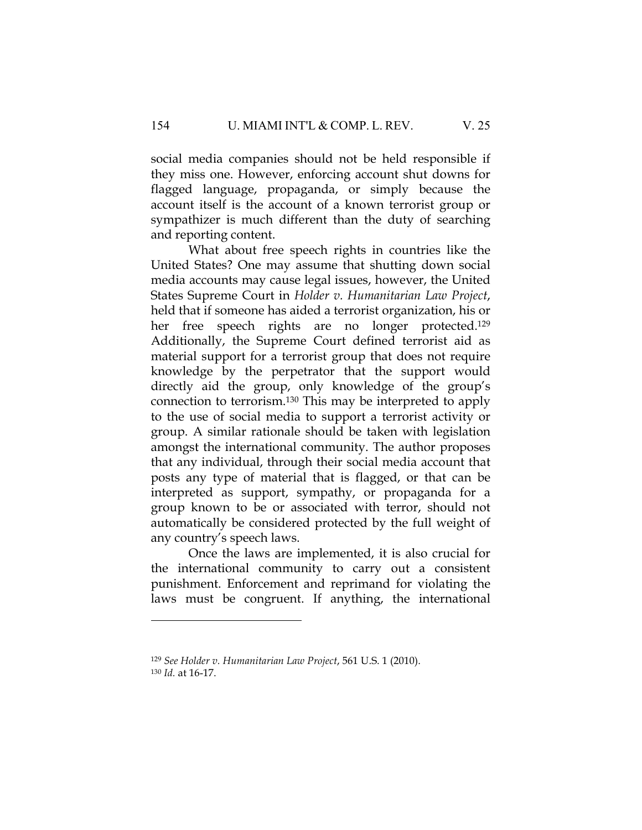social media companies should not be held responsible if they miss one. However, enforcing account shut downs for flagged language, propaganda, or simply because the account itself is the account of a known terrorist group or sympathizer is much different than the duty of searching and reporting content.

What about free speech rights in countries like the United States? One may assume that shutting down social media accounts may cause legal issues, however, the United States Supreme Court in *Holder v. Humanitarian Law Project*, held that if someone has aided a terrorist organization, his or her free speech rights are no longer protected.129 Additionally, the Supreme Court defined terrorist aid as material support for a terrorist group that does not require knowledge by the perpetrator that the support would directly aid the group, only knowledge of the group's connection to terrorism.130 This may be interpreted to apply to the use of social media to support a terrorist activity or group. A similar rationale should be taken with legislation amongst the international community. The author proposes that any individual, through their social media account that posts any type of material that is flagged, or that can be interpreted as support, sympathy, or propaganda for a group known to be or associated with terror, should not automatically be considered protected by the full weight of any country's speech laws.

Once the laws are implemented, it is also crucial for the international community to carry out a consistent punishment. Enforcement and reprimand for violating the laws must be congruent. If anything, the international

<sup>129</sup> *See Holder v. Humanitarian Law Project*, 561 U.S. 1 (2010). <sup>130</sup> *Id.* at 16-17.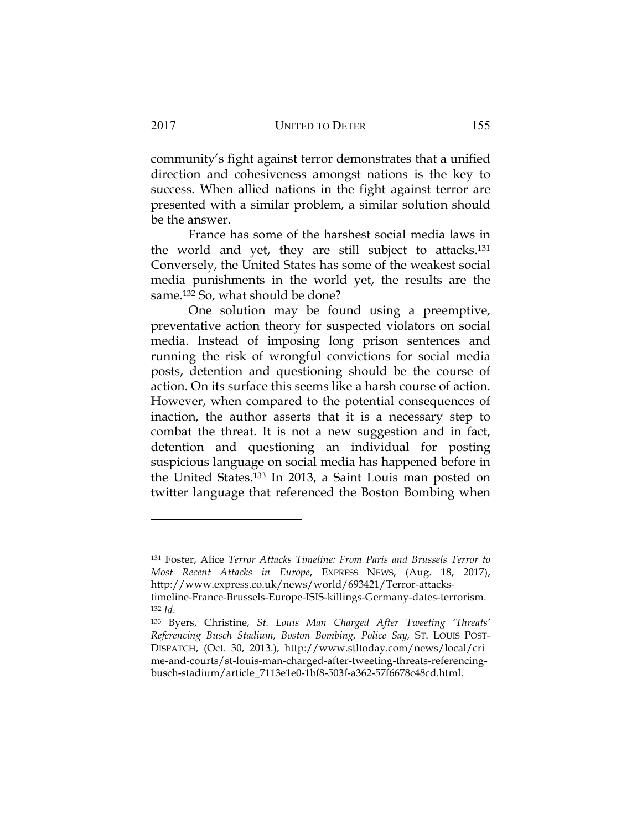community's fight against terror demonstrates that a unified direction and cohesiveness amongst nations is the key to success. When allied nations in the fight against terror are presented with a similar problem, a similar solution should be the answer.

France has some of the harshest social media laws in the world and yet, they are still subject to attacks.131 Conversely, the United States has some of the weakest social media punishments in the world yet, the results are the same.132 So, what should be done?

One solution may be found using a preemptive, preventative action theory for suspected violators on social media. Instead of imposing long prison sentences and running the risk of wrongful convictions for social media posts, detention and questioning should be the course of action. On its surface this seems like a harsh course of action. However, when compared to the potential consequences of inaction, the author asserts that it is a necessary step to combat the threat. It is not a new suggestion and in fact, detention and questioning an individual for posting suspicious language on social media has happened before in the United States.133 In 2013, a Saint Louis man posted on twitter language that referenced the Boston Bombing when

<sup>131</sup> Foster, Alice *Terror Attacks Timeline: From Paris and Brussels Terror to Most Recent Attacks in Europe*, EXPRESS NEWS, (Aug. 18, 2017), http://www.express.co.uk/news/world/693421/Terror-attacks-

timeline-France-Brussels-Europe-ISIS-killings-Germany-dates-terrorism. <sup>132</sup> *Id*.

<sup>133</sup> Byers, Christine, *St. Louis Man Charged After Tweeting 'Threats' Referencing Busch Stadium, Boston Bombing, Police Say,* ST. LOUIS POST-DISPATCH,\_(Oct.\_30,\_2013.),\_http://www.stltoday.com/news/local/cri me-and-courts/st-louis-man-charged-after-tweeting-threats-referencingbusch-stadium/article\_7113e1e0-1bf8-503f-a362-57f6678c48cd.html.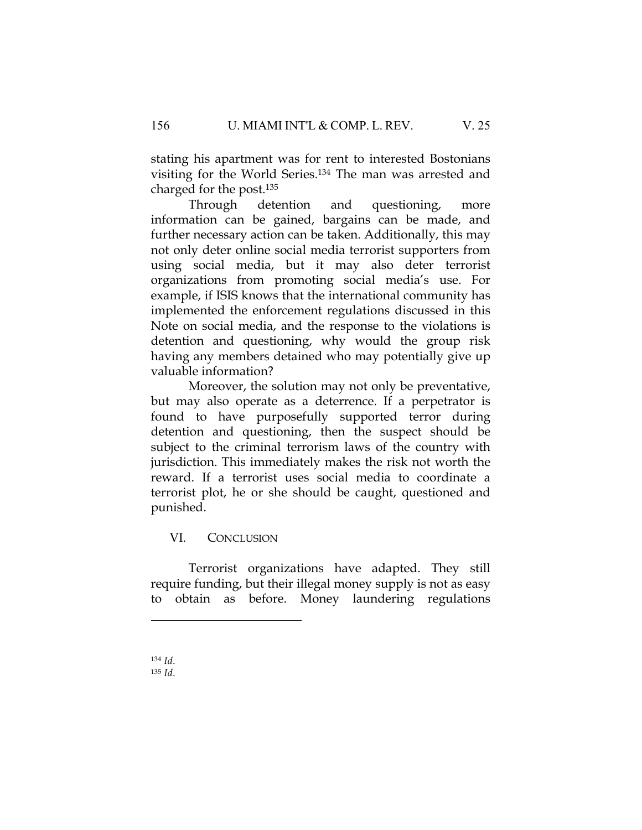stating his apartment was for rent to interested Bostonians visiting for the World Series.134 The man was arrested and charged for the post.135

Through detention and questioning, more information can be gained, bargains can be made, and further necessary action can be taken. Additionally, this may not only deter online social media terrorist supporters from using social media, but it may also deter terrorist organizations from promoting social media's use. For example, if ISIS knows that the international community has implemented the enforcement regulations discussed in this Note on social media, and the response to the violations is detention and questioning, why would the group risk having any members detained who may potentially give up valuable information?

Moreover, the solution may not only be preventative, but may also operate as a deterrence. If a perpetrator is found to have purposefully supported terror during detention and questioning, then the suspect should be subject to the criminal terrorism laws of the country with jurisdiction. This immediately makes the risk not worth the reward. If a terrorist uses social media to coordinate a terrorist plot, he or she should be caught, questioned and punished.

# VI. CONCLUSION

Terrorist organizations have adapted. They still require funding, but their illegal money supply is not as easy to obtain as before. Money laundering regulations

<sup>134</sup> *Id*. <sup>135</sup> *Id*.